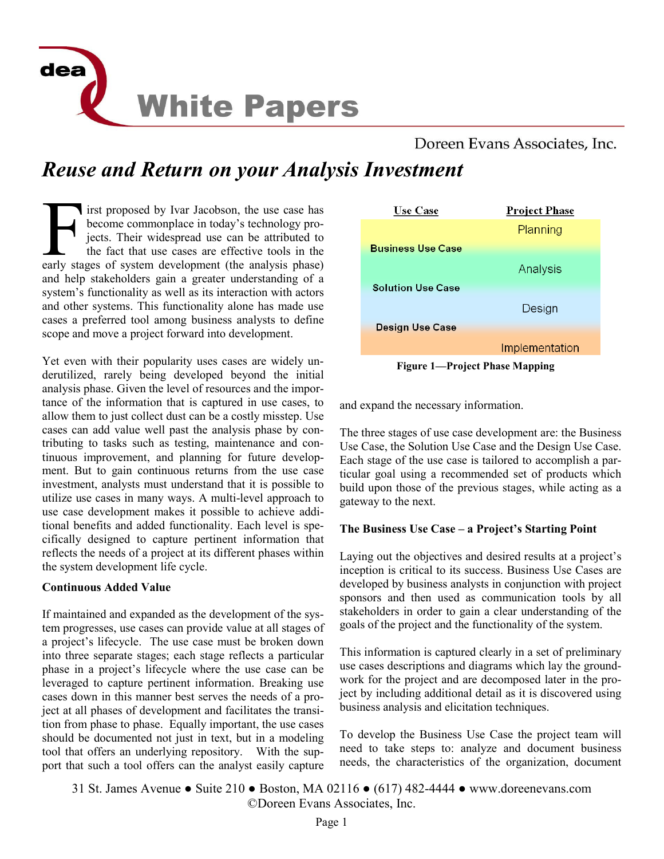

# Doreen Evans Associates, Inc.

# *Reuse and Return on your Analysis Investment*

F irst proposed by Ivar Jacobson, the use case has become commonplace in today's technology projects. Their widespread use can be attributed to the fact that use cases are effective tools in the early stages of system deve become commonplace in today's technology projects. Their widespread use can be attributed to the fact that use cases are effective tools in the and help stakeholders gain a greater understanding of a system's functionality as well as its interaction with actors and other systems. This functionality alone has made use cases a preferred tool among business analysts to define scope and move a project forward into development.

Yet even with their popularity uses cases are widely underutilized, rarely being developed beyond the initial analysis phase. Given the level of resources and the importance of the information that is captured in use cases, to allow them to just collect dust can be a costly misstep. Use cases can add value well past the analysis phase by contributing to tasks such as testing, maintenance and continuous improvement, and planning for future development. But to gain continuous returns from the use case investment, analysts must understand that it is possible to utilize use cases in many ways. A multi-level approach to use case development makes it possible to achieve additional benefits and added functionality. Each level is specifically designed to capture pertinent information that reflects the needs of a project at its different phases within the system development life cycle.

### **Continuous Added Value**

If maintained and expanded as the development of the system progresses, use cases can provide value at all stages of a project's lifecycle. The use case must be broken down into three separate stages; each stage reflects a particular phase in a project's lifecycle where the use case can be leveraged to capture pertinent information. Breaking use cases down in this manner best serves the needs of a project at all phases of development and facilitates the transition from phase to phase. Equally important, the use cases should be documented not just in text, but in a modeling tool that offers an underlying repository. With the support that such a tool offers can the analyst easily capture



**Figure 1—Project Phase Mapping** 

and expand the necessary information.

The three stages of use case development are: the Business Use Case, the Solution Use Case and the Design Use Case. Each stage of the use case is tailored to accomplish a particular goal using a recommended set of products which build upon those of the previous stages, while acting as a gateway to the next.

### **The Business Use Case – a Project's Starting Point**

Laying out the objectives and desired results at a project's inception is critical to its success. Business Use Cases are developed by business analysts in conjunction with project sponsors and then used as communication tools by all stakeholders in order to gain a clear understanding of the goals of the project and the functionality of the system.

This information is captured clearly in a set of preliminary use cases descriptions and diagrams which lay the groundwork for the project and are decomposed later in the project by including additional detail as it is discovered using business analysis and elicitation techniques.

To develop the Business Use Case the project team will need to take steps to: analyze and document business needs, the characteristics of the organization, document

31 St. James Avenue ● Suite 210 ● Boston, MA 02116 ● (617) 482-4444 ● www.doreenevans.com ©Doreen Evans Associates, Inc.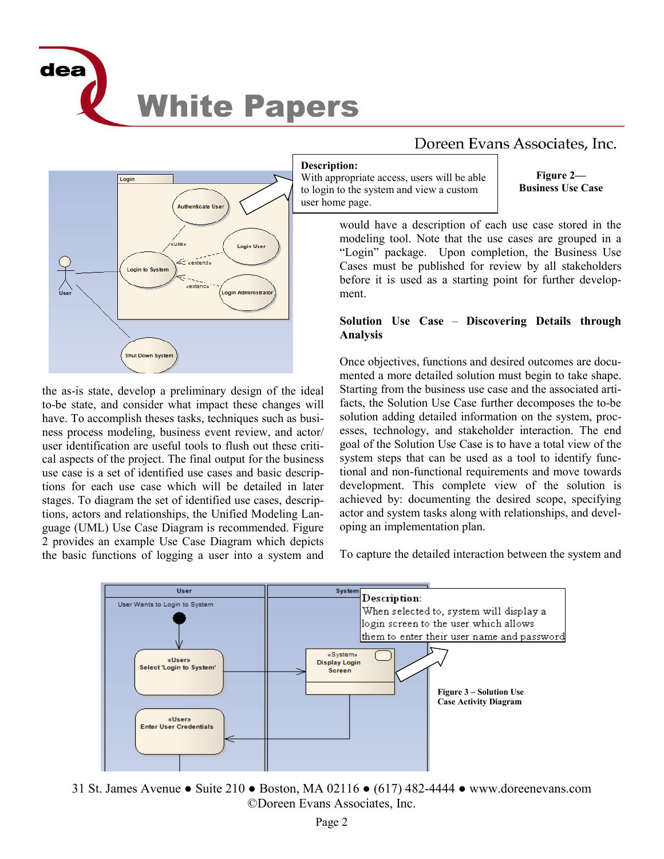



## the as-is state, develop a preliminary design of the ideal to-be state, and consider what impact these changes will have. To accomplish theses tasks, techniques such as business process modeling, business event review, and actor/ user identification are useful tools to flush out these critical aspects of the project. The final output for the business use case is a set of identified use cases and basic descriptions for each use case which will be detailed in later stages. To diagram the set of identified use cases, descriptions, actors and relationships, the Unified Modeling Language (UML) Use Case Diagram is recommended. Figure 2 provides an example Use Case Diagram which depicts the basic functions of logging a user into a system and

# Doreen Evans Associates, Inc.

#### **Description:**

With appropriate access, users will be able to login to the system and view a custom user home page.

**Figure 2— Business Use Case** 

would have a description of each use case stored in the modeling tool. Note that the use cases are grouped in a "Login" package. Upon completion, the Business Use Cases must be published for review by all stakeholders before it is used as a starting point for further development.

## **Solution Use Case** – **Discovering Details through Analysis**

Once objectives, functions and desired outcomes are documented a more detailed solution must begin to take shape. Starting from the business use case and the associated artifacts, the Solution Use Case further decomposes the to-be solution adding detailed information on the system, processes, technology, and stakeholder interaction. The end goal of the Solution Use Case is to have a total view of the system steps that can be used as a tool to identify functional and non-functional requirements and move towards development. This complete view of the solution is achieved by: documenting the desired scope, specifying actor and system tasks along with relationships, and developing an implementation plan.

To capture the detailed interaction between the system and



31 St. James Avenue ● Suite 210 ● Boston, MA 02116 ● (617) 482-4444 ● www.doreenevans.com ©Doreen Evans Associates, Inc.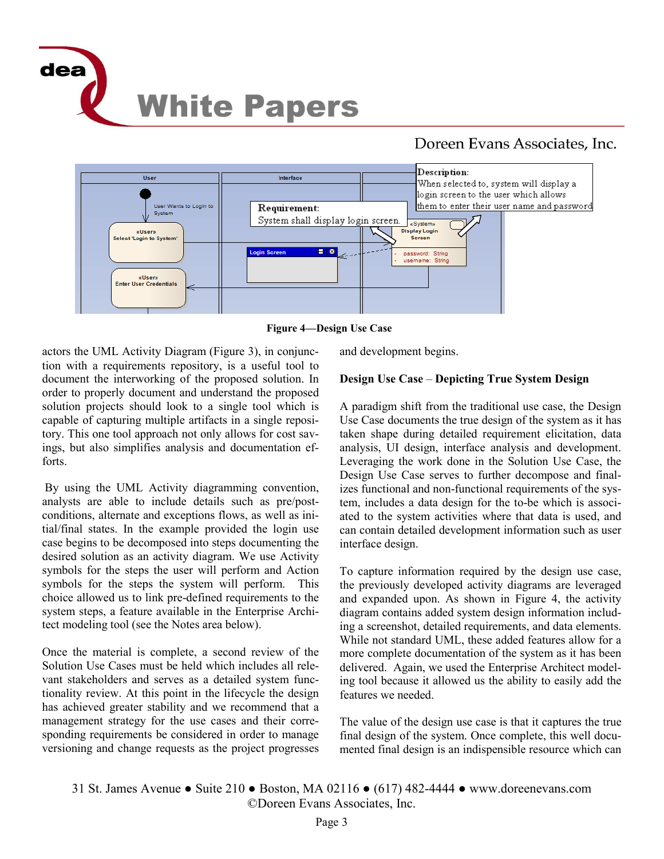

# Doreen Evans Associates, Inc.



**Figure 4—Design Use Case** 

actors the UML Activity Diagram (Figure 3), in conjunction with a requirements repository, is a useful tool to document the interworking of the proposed solution. In order to properly document and understand the proposed solution projects should look to a single tool which is capable of capturing multiple artifacts in a single repository. This one tool approach not only allows for cost savings, but also simplifies analysis and documentation efforts.

By using the UML Activity diagramming convention, analysts are able to include details such as pre/postconditions, alternate and exceptions flows, as well as initial/final states. In the example provided the login use case begins to be decomposed into steps documenting the desired solution as an activity diagram. We use Activity symbols for the steps the user will perform and Action symbols for the steps the system will perform. This choice allowed us to link pre-defined requirements to the system steps, a feature available in the Enterprise Architect modeling tool (see the Notes area below).

Once the material is complete, a second review of the Solution Use Cases must be held which includes all relevant stakeholders and serves as a detailed system functionality review. At this point in the lifecycle the design has achieved greater stability and we recommend that a management strategy for the use cases and their corresponding requirements be considered in order to manage versioning and change requests as the project progresses

and development begins.

# **Design Use Case** – **Depicting True System Design**

A paradigm shift from the traditional use case, the Design Use Case documents the true design of the system as it has taken shape during detailed requirement elicitation, data analysis, UI design, interface analysis and development. Leveraging the work done in the Solution Use Case, the Design Use Case serves to further decompose and finalizes functional and non-functional requirements of the system, includes a data design for the to-be which is associated to the system activities where that data is used, and can contain detailed development information such as user interface design.

To capture information required by the design use case, the previously developed activity diagrams are leveraged and expanded upon. As shown in Figure 4, the activity diagram contains added system design information including a screenshot, detailed requirements, and data elements. While not standard UML, these added features allow for a more complete documentation of the system as it has been delivered. Again, we used the Enterprise Architect modeling tool because it allowed us the ability to easily add the features we needed.

The value of the design use case is that it captures the true final design of the system. Once complete, this well documented final design is an indispensible resource which can

31 St. James Avenue ● Suite 210 ● Boston, MA 02116 ● (617) 482-4444 ● www.doreenevans.com ©Doreen Evans Associates, Inc.